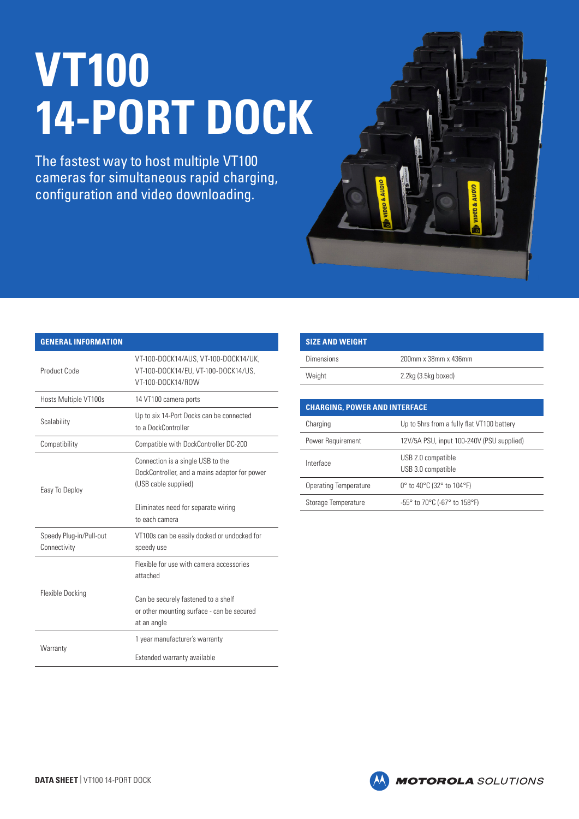## **VT100 14-PORT DOCK**

The fastest way to host multiple VT100 cameras for simultaneous rapid charging, configuration and video downloading.



| <b>GENERAL INFORMATION</b>              |                                                                                                            |
|-----------------------------------------|------------------------------------------------------------------------------------------------------------|
| Product Code                            | VT-100-DOCK14/AUS, VT-100-DOCK14/UK,<br>VT-100-DOCK14/EU, VT-100-DOCK14/US,<br>VT-100-DOCK14/ROW           |
| Hosts Multiple VT100s                   | 14 VT100 camera ports                                                                                      |
| Scalability                             | Up to six 14-Port Docks can be connected<br>to a DockController                                            |
| Compatibility                           | Compatible with DockController DC-200                                                                      |
| Easy To Deploy                          | Connection is a single USB to the<br>DockController, and a mains adaptor for power<br>(USB cable supplied) |
|                                         | Eliminates need for separate wiring                                                                        |
|                                         | to each camera                                                                                             |
| Speedy Plug-in/Pull-out<br>Connectivity | VT100s can be easily docked or undocked for<br>speedy use                                                  |
|                                         | Flexible for use with camera accessories<br>attached                                                       |
| <b>Flexible Docking</b>                 | Can be securely fastened to a shelf<br>or other mounting surface - can be secured<br>at an angle           |
| Warranty                                | 1 year manufacturer's warranty                                                                             |

| <b>SIZE AND WEIGHT</b> |                      |
|------------------------|----------------------|
| <b>Dimensions</b>      | 200mm x 38mm x 436mm |
| Weight                 | 2.2kg (3.5kg boxed)  |
|                        |                      |

| <b>CHARGING. POWER AND INTERFACE</b> |                                            |  |
|--------------------------------------|--------------------------------------------|--|
| Charging                             | Up to 5hrs from a fully flat VT100 battery |  |
| Power Requirement                    | 12V/5A PSU, input 100-240V (PSU supplied)  |  |
| Interface                            | USB 2.0 compatible<br>USB 3.0 compatible   |  |
| Operating Temperature                | 0° to 40°C (32° to 104°F)                  |  |
| Storage Temperature                  | $-55^{\circ}$ to 70 °C (-67 ° to 158 °F)   |  |